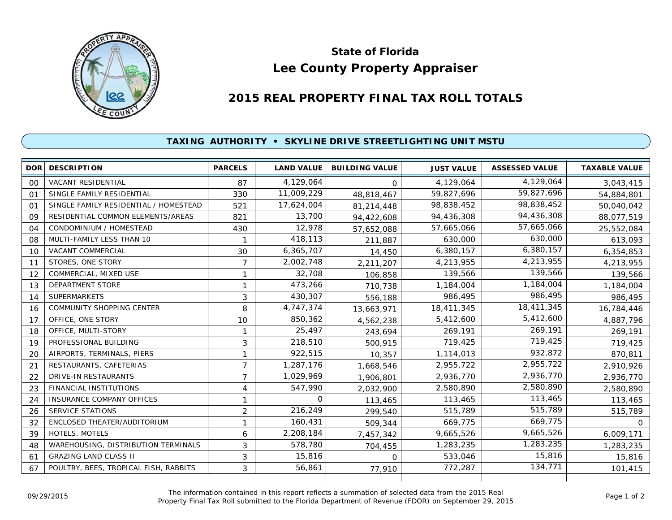

## **Lee County Property Appraiser State of Florida**

## **2015 REAL PROPERTY FINAL TAX ROLL TOTALS**

## **TAXING AUTHORITY • SKYLINE DRIVE STREETLIGHTING UNIT MSTU**

|                | <b>DOR DESCRIPTION</b>                | <b>PARCELS</b> | <b>LAND VALUE</b> | <b>BUILDING VALUE</b> | <b>JUST VALUE</b> | <b>ASSESSED VALUE</b> | <b>TAXABLE VALUE</b> |
|----------------|---------------------------------------|----------------|-------------------|-----------------------|-------------------|-----------------------|----------------------|
| 00             | VACANT RESIDENTIAL                    | 87             | 4,129,064         | $\Omega$              | 4,129,064         | 4,129,064             | 3,043,415            |
| O <sub>1</sub> | SINGLE FAMILY RESIDENTIAL             | 330            | 11,009,229        | 48,818,467            | 59,827,696        | 59,827,696            | 54,884,801           |
| 01             | SINGLE FAMILY RESIDENTIAL / HOMESTEAD | 521            | 17,624,004        | 81,214,448            | 98,838,452        | 98,838,452            | 50,040,042           |
| 09             | RESIDENTIAL COMMON ELEMENTS/AREAS     | 821            | 13,700            | 94,422,608            | 94,436,308        | 94,436,308            | 88,077,519           |
| 04             | CONDOMINIUM / HOMESTEAD               | 430            | 12,978            | 57,652,088            | 57,665,066        | 57,665,066            | 25,552,084           |
| 08             | MULTI-FAMILY LESS THAN 10             |                | 418,113           | 211,887               | 630,000           | 630,000               | 613,093              |
| 10             | <b>VACANT COMMERCIAL</b>              | 30             | 6,365,707         | 14,450                | 6,380,157         | 6,380,157             | 6,354,853            |
| 11             | STORES, ONE STORY                     | 7              | 2,002,748         | 2,211,207             | 4,213,955         | 4,213,955             | 4,213,955            |
| 12             | COMMERCIAL, MIXED USE                 | 1              | 32,708            | 106,858               | 139,566           | 139,566               | 139,566              |
| 13             | <b>DEPARTMENT STORE</b>               | 1              | 473,266           | 710,738               | 1,184,004         | 1,184,004             | 1,184,004            |
| 14             | <b>SUPERMARKETS</b>                   | 3              | 430,307           | 556,188               | 986,495           | 986,495               | 986,495              |
| 16             | <b>COMMUNITY SHOPPING CENTER</b>      | 8              | 4,747,374         | 13,663,971            | 18,411,345        | 18,411,345            | 16,784,446           |
| 17             | OFFICE, ONE STORY                     | 10             | 850,362           | 4,562,238             | 5,412,600         | 5,412,600             | 4,887,796            |
| 18             | OFFICE, MULTI-STORY                   | 1              | 25,497            | 243.694               | 269,191           | 269,191               | 269,191              |
| 19             | PROFESSIONAL BUILDING                 | 3              | 218,510           | 500,915               | 719,425           | 719,425               | 719,425              |
| 20             | AIRPORTS, TERMINALS, PIERS            | 1              | 922,515           | 10,357                | 1,114,013         | 932,872               | 870,811              |
| 21             | RESTAURANTS, CAFETERIAS               | 7              | 1,287,176         | 1,668,546             | 2,955,722         | 2,955,722             | 2,910,926            |
| 22             | DRIVE-IN RESTAURANTS                  | $\overline{7}$ | 1,029,969         | 1,906,801             | 2,936,770         | 2,936,770             | 2,936,770            |
| 23             | <b>FINANCIAL INSTITUTIONS</b>         | 4              | 547,990           | 2,032,900             | 2,580,890         | 2,580,890             | 2,580,890            |
| 24             | <b>INSURANCE COMPANY OFFICES</b>      | 1              | 0                 | 113,465               | 113,465           | 113,465               | 113,465              |
| 26             | SERVICE STATIONS                      | $\overline{2}$ | 216,249           | 299,540               | 515,789           | 515,789               | 515,789              |
| 32             | ENCLOSED THEATER/AUDITORIUM           | 1              | 160,431           | 509,344               | 669,775           | 669,775               | $\Omega$             |
| 39             | HOTELS, MOTELS                        | 6              | 2,208,184         | 7,457,342             | 9,665,526         | 9,665,526             | 6,009,171            |
| 48             | WAREHOUSING, DISTRIBUTION TERMINALS   | 3              | 578,780           | 704,455               | 1,283,235         | 1,283,235             | 1,283,235            |
| 61             | <b>GRAZING LAND CLASS II</b>          | 3              | 15,816            | $\Omega$              | 533,046           | 15,816                | 15,816               |
| 67             | POULTRY, BEES, TROPICAL FISH, RABBITS | 3              | 56,861            | 77,910                | 772,287           | 134,771               | 101,415              |
|                |                                       |                |                   |                       |                   |                       |                      |

The information contained in this report reflects a summation of selected data from the 2015 Real Ine information contained in this report reflects a summation of selected data from the 2015 Real<br>Property Final Tax Roll submitted to the Florida Department of Revenue (FDOR) on September 29, 2015